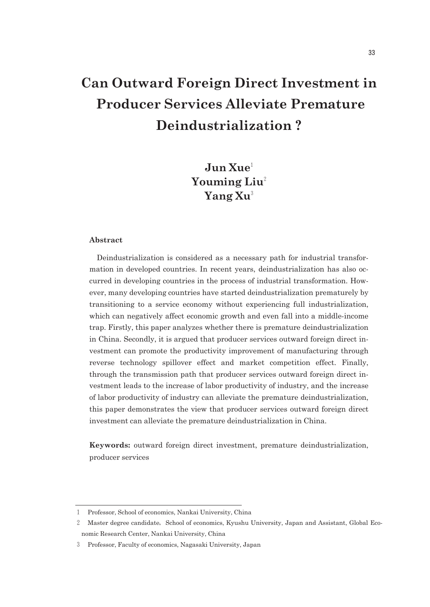# **Can Outward Foreign Direct Investment in Producer Services Alleviate Premature Deindustrialization ?**

## **Jun Xue**<sup>1</sup> **Youming Liu**<sup>2</sup> **Yang Xu**<sup>3</sup>

## **Abstract**

Deindustrialization is considered as a necessary path for industrial transformation in developed countries. In recent years, deindustrialization has also occurred in developing countries in the process of industrial transformation. However, many developing countries have started deindustrialization prematurely by transitioning to a service economy without experiencing full industrialization, which can negatively affect economic growth and even fall into a middle-income trap. Firstly, this paper analyzes whether there is premature deindustrialization in China. Secondly, it is argued that producer services outward foreign direct investment can promote the productivity improvement of manufacturing through reverse technology spillover effect and market competition effect. Finally, through the transmission path that producer services outward foreign direct investment leads to the increase of labor productivity of industry, and the increase of labor productivity of industry can alleviate the premature deindustrialization, this paper demonstrates the view that producer services outward foreign direct investment can alleviate the premature deindustrialization in China.

**Keywords:** outward foreign direct investment, premature deindustrialization, producer services

<sup>1</sup> Professor, School of economics, Nankai University, China

<sup>2</sup> Master degree candidate, School of economics, Kyushu University, Japan and Assistant, Global Economic Research Center, Nankai University, China

<sup>3</sup> Professor, Faculty of economics, Nagasaki University, Japan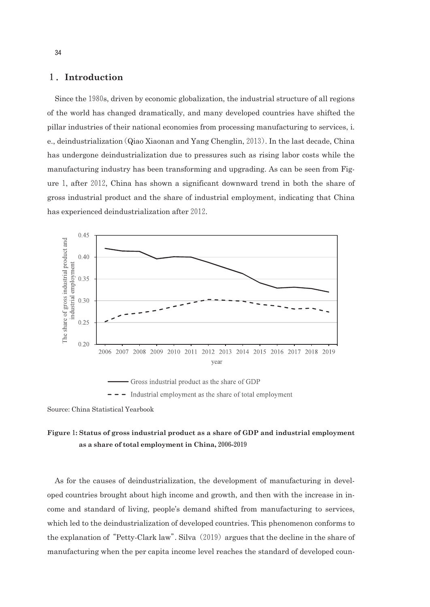## 1.**Introduction**

Since the 1980s, driven by economic globalization, the industrial structure of all regions of the world has changed dramatically, and many developed countries have shifted the pillar industries of their national economies from processing manufacturing to services, i. e., deindustrialization(Qiao Xiaonan and Yang Chenglin,2013). In the last decade, China has undergone deindustrialization due to pressures such as rising labor costs while the manufacturing industry has been transforming and upgrading. As can be seen from Figure1, after2012, China has shown a significant downward trend in both the share of gross industrial product and the share of industrial employment, indicating that China has experienced deindustrialization after 2012.



 $\overline{\phantom{a}}$  - The Industrial employment as the share of total employment

## **Figure**1**: Status of gross industrial product as a share of GDP and industrial employment as a share of total employment in China,**2006**-**2019

As for the causes of deindustrialization, the development of manufacturing in developed countries brought about high income and growth, and then with the increase in income and standard of living, people's demand shifted from manufacturing to services, which led to the deindustrialization of developed countries. This phenomenon conforms to the explanation of "Petty-Clark law". Silva  $(2019)$  argues that the decline in the share of manufacturing when the per capita income level reaches the standard of developed coun-

Source: China Statistical Yearbook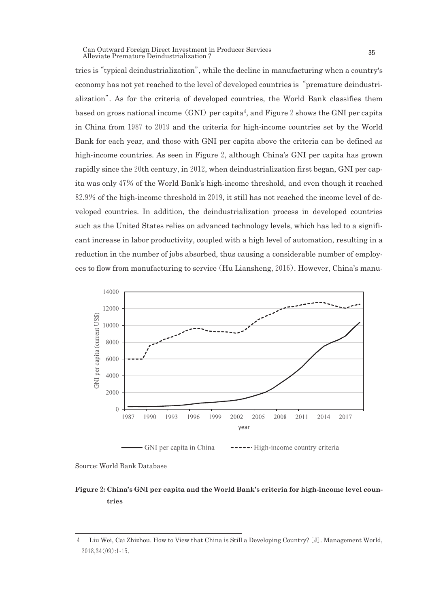Can Outward Foreign Direct Investment in Producer Services Uan Outward Foreign Direct Investment in Producer Services<br>Alleviate Premature Deindustrialization ?

tries is"typical deindustrialization", while the decline in manufacturing when a country's economy has not yet reached to the level of developed countries is"premature deindustrialization". As for the criteria of developed countries, the World Bank classifies them based on gross national income (GNI) per capita<sup>4</sup>, and Figure 2 shows the GNI per capita in China from 1987 to 2019 and the criteria for high-income countries set by the World Bank for each year, and those with GNI per capita above the criteria can be defined as high-income countries. As seen in Figure2, although China's GNI per capita has grown rapidly since the 20th century, in 2012, when deindustrialization first began, GNI per capita was only47% of the World Bank's high-income threshold, and even though it reached 82.9% of the high-income threshold in2019, it still has not reached the income level of developed countries. In addition, the deindustrialization process in developed countries such as the United States relies on advanced technology levels, which has led to a significant increase in labor productivity, coupled with a high level of automation, resulting in a reduction in the number of jobs absorbed, thus causing a considerable number of employees to flow from manufacturing to service(Hu Liansheng,2016). However, China's manu-



Source: World Bank Database

## **Figure**2**: China's GNI per capita and the World Bank's criteria for high-income level countries**

<sup>4</sup> Liu Wei, Cai Zhizhou. How to View that China is Still a Developing Country?[J]. Management World, 2018,34(09):1-15.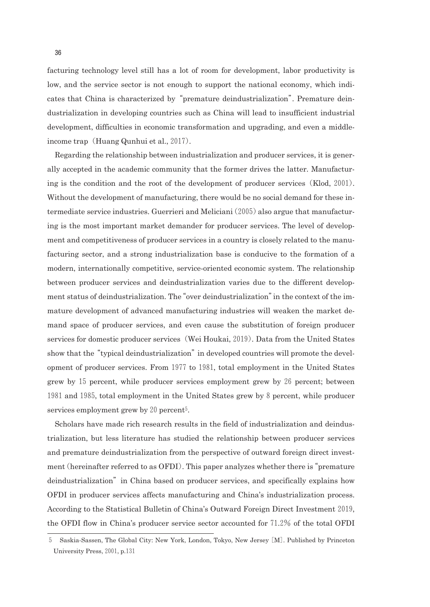facturing technology level still has a lot of room for development, labor productivity is low, and the service sector is not enough to support the national economy, which indicates that China is characterized by"premature deindustrialization". Premature deindustrialization in developing countries such as China will lead to insufficient industrial development, difficulties in economic transformation and upgrading, and even a middleincome trap (Huang Qunhui et al., 2017).

Regarding the relationship between industrialization and producer services, it is generally accepted in the academic community that the former drives the latter. Manufacturing is the condition and the root of the development of producer services(Klod,2001). Without the development of manufacturing, there would be no social demand for these intermediate service industries. Guerrieri and Meliciani (2005) also argue that manufacturing is the most important market demander for producer services. The level of development and competitiveness of producer services in a country is closely related to the manufacturing sector, and a strong industrialization base is conducive to the formation of a modern, internationally competitive, service-oriented economic system. The relationship between producer services and deindustrialization varies due to the different development status of deindustrialization. The"over deindustrialization"in the context of the immature development of advanced manufacturing industries will weaken the market demand space of producer services, and even cause the substitution of foreign producer services for domestic producer services (Wei Houkai, 2019). Data from the United States show that the "typical deindustrialization" in developed countries will promote the development of producer services. From 1977 to 1981, total employment in the United States grew by 15 percent, while producer services employment grew by 26 percent; between 1981 and 1985, total employment in the United States grew by 8 percent, while producer services employment grew by 20 percent<sup>5</sup>.

Scholars have made rich research results in the field of industrialization and deindustrialization, but less literature has studied the relationship between producer services and premature deindustrialization from the perspective of outward foreign direct investment(hereinafter referred to as OFDI). This paper analyzes whether there is"premature deindustrialization" in China based on producer services, and specifically explains how OFDI in producer services affects manufacturing and China's industrialization process. According to the Statistical Bulletin of China's Outward Foreign Direct Investment 2019, the OFDI flow in China's producer service sector accounted for  $71.2\%$  of the total OFDI

<sup>5</sup> Saskia-Sassen, The Global City: New York, London, Tokyo, New Jersey[M]. Published by Princeton University Press,2001, p.131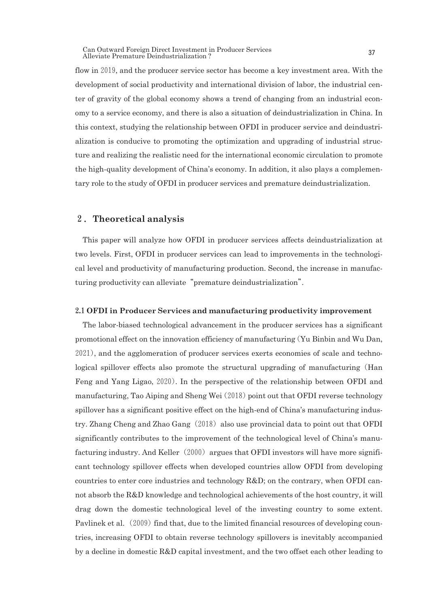Can Outward Foreign Direct Investment in Producer Services Uan Outward Foreign Direct Investment in Producer Services<br>Alleviate Premature Deindustrialization ?

flow in 2019, and the producer service sector has become a key investment area. With the development of social productivity and international division of labor, the industrial center of gravity of the global economy shows a trend of changing from an industrial economy to a service economy, and there is also a situation of deindustrialization in China. In this context, studying the relationship between OFDI in producer service and deindustrialization is conducive to promoting the optimization and upgrading of industrial structure and realizing the realistic need for the international economic circulation to promote the high-quality development of China's economy. In addition, it also plays a complementary role to the study of OFDI in producer services and premature deindustrialization.

### 2.**Theoretical analysis**

This paper will analyze how OFDI in producer services affects deindustrialization at two levels. First, OFDI in producer services can lead to improvements in the technological level and productivity of manufacturing production. Second, the increase in manufacturing productivity can alleviate "premature deindustrialization".

#### 2**.**1**OFDI in Producer Services and manufacturing productivity improvement**

The labor-biased technological advancement in the producer services has a significant promotional effect on the innovation efficiency of manufacturing(Yu Binbin and Wu Dan, 2021), and the agglomeration of producer services exerts economies of scale and technological spillover effects also promote the structural upgrading of manufacturing (Han Feng and Yang Ligao, 2020). In the perspective of the relationship between OFDI and manufacturing, Tao Aiping and Sheng Wei $(2018)$  point out that OFDI reverse technology spillover has a significant positive effect on the high-end of China's manufacturing industry. Zhang Cheng and Zhao Gang $(2018)$  also use provincial data to point out that OFDI significantly contributes to the improvement of the technological level of China's manufacturing industry. And Keller $(2000)$  argues that OFDI investors will have more significant technology spillover effects when developed countries allow OFDI from developing countries to enter core industries and technology  $R&D$ ; on the contrary, when OFDI cannot absorb the R&D knowledge and technological achievements of the host country, it will drag down the domestic technological level of the investing country to some extent. Pavlinek et al. (2009) find that, due to the limited financial resources of developing countries, increasing OFDI to obtain reverse technology spillovers is inevitably accompanied by a decline in domestic R&D capital investment, and the two offset each other leading to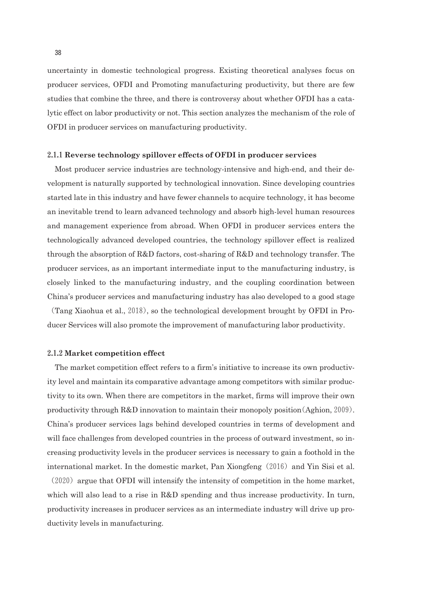uncertainty in domestic technological progress. Existing theoretical analyses focus on producer services, OFDI and Promoting manufacturing productivity, but there are few studies that combine the three, and there is controversy about whether OFDI has a catalytic effect on labor productivity or not. This section analyzes the mechanism of the role of OFDI in producer services on manufacturing productivity.

#### 2**.**1**.**1**Reverse technology spillover effects of OFDI in producer services**

Most producer service industries are technology-intensive and high-end, and their development is naturally supported by technological innovation. Since developing countries started late in this industry and have fewer channels to acquire technology, it has become an inevitable trend to learn advanced technology and absorb high-level human resources and management experience from abroad. When OFDI in producer services enters the technologically advanced developed countries, the technology spillover effect is realized through the absorption of R&D factors, cost-sharing of R&D and technology transfer. The producer services, as an important intermediate input to the manufacturing industry, is closely linked to the manufacturing industry, and the coupling coordination between China's producer services and manufacturing industry has also developed to a good stage

(Tang Xiaohua et al.,2018), so the technological development brought by OFDI in Producer Services will also promote the improvement of manufacturing labor productivity.

#### 2**.**1**.**2**Market competition effect**

The market competition effect refers to a firm's initiative to increase its own productivity level and maintain its comparative advantage among competitors with similar productivity to its own. When there are competitors in the market, firms will improve their own productivity through  $R&D$  innovation to maintain their monopoly position  $(Aghion, 2009)$ . China's producer services lags behind developed countries in terms of development and will face challenges from developed countries in the process of outward investment, so increasing productivity levels in the producer services is necessary to gain a foothold in the international market. In the domestic market, Pan Xiongfeng (2016) and Yin Sisi et al.

 $(2020)$  argue that OFDI will intensify the intensity of competition in the home market, which will also lead to a rise in R&D spending and thus increase productivity. In turn, productivity increases in producer services as an intermediate industry will drive up productivity levels in manufacturing.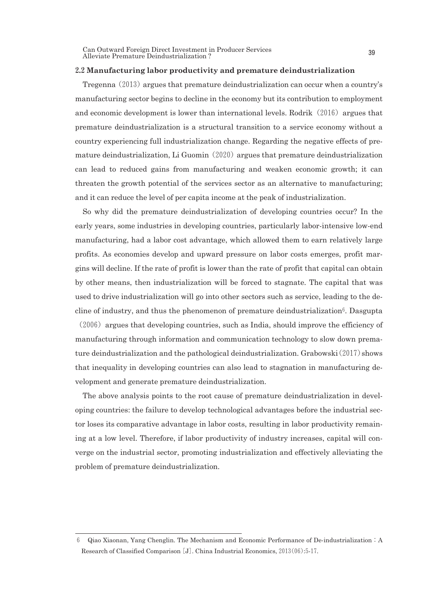Can Outward Foreign Direct Investment in Producer Services Can Outward Foreign Direct Investment in Producer Services<br>Alleviate Premature Deindustrialization ?

#### 2**.**2**Manufacturing labor productivity and premature deindustrialization**

Tregenna (2013) argues that premature deindustrialization can occur when a country's manufacturing sector begins to decline in the economy but its contribution to employment and economic development is lower than international levels. Rodrik $(2016)$  argues that premature deindustrialization is a structural transition to a service economy without a country experiencing full industrialization change. Regarding the negative effects of premature deindustrialization, Li Guomin $(2020)$  argues that premature deindustrialization can lead to reduced gains from manufacturing and weaken economic growth; it can threaten the growth potential of the services sector as an alternative to manufacturing; and it can reduce the level of per capita income at the peak of industrialization.

So why did the premature deindustrialization of developing countries occur? In the early years, some industries in developing countries, particularly labor-intensive low-end manufacturing, had a labor cost advantage, which allowed them to earn relatively large profits. As economies develop and upward pressure on labor costs emerges, profit margins will decline. If the rate of profit is lower than the rate of profit that capital can obtain by other means, then industrialization will be forced to stagnate. The capital that was used to drive industrialization will go into other sectors such as service, leading to the decline of industry, and thus the phenomenon of premature deindustrialization<sup>6</sup>. Dasgupta

 $(2006)$  argues that developing countries, such as India, should improve the efficiency of manufacturing through information and communication technology to slow down premature deindustrialization and the pathological deindustrialization. Grabowski $(2017)$  shows that inequality in developing countries can also lead to stagnation in manufacturing development and generate premature deindustrialization.

The above analysis points to the root cause of premature deindustrialization in developing countries: the failure to develop technological advantages before the industrial sector loses its comparative advantage in labor costs, resulting in labor productivity remaining at a low level. Therefore, if labor productivity of industry increases, capital will converge on the industrial sector, promoting industrialization and effectively alleviating the problem of premature deindustrialization.

<sup>6</sup> Qiao Xiaonan, Yang Chenglin. The Mechanism and Economic Performance of De-industrialization:A Research of Classified Comparison[J]. China Industrial Economics,2013(06):5-17.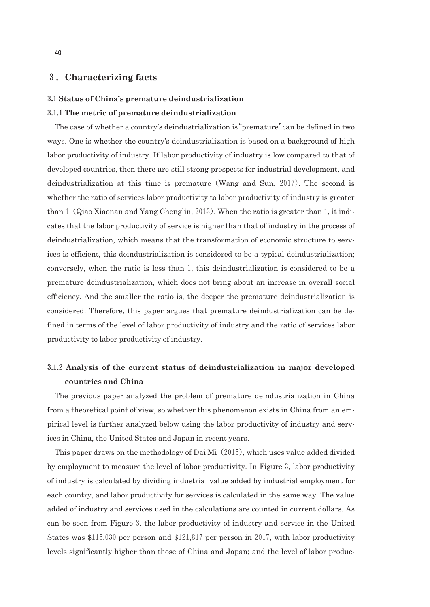## 3.**Characterizing facts**

#### 3**.**1**Status of China's premature deindustrialization**

#### 3**.**1**.**1**The metric of premature deindustrialization**

The case of whether a country's deindustrialization is"premature"can be defined in two ways. One is whether the country's deindustrialization is based on a background of high labor productivity of industry. If labor productivity of industry is low compared to that of developed countries, then there are still strong prospects for industrial development, and deindustrialization at this time is premature(Wang and Sun, 2017). The second is whether the ratio of services labor productivity to labor productivity of industry is greater than 1 (Qiao Xiaonan and Yang Chenglin, 2013). When the ratio is greater than 1, it indicates that the labor productivity of service is higher than that of industry in the process of deindustrialization, which means that the transformation of economic structure to services is efficient, this deindustrialization is considered to be a typical deindustrialization; conversely, when the ratio is less than1, this deindustrialization is considered to be a premature deindustrialization, which does not bring about an increase in overall social efficiency. And the smaller the ratio is, the deeper the premature deindustrialization is considered. Therefore, this paper argues that premature deindustrialization can be defined in terms of the level of labor productivity of industry and the ratio of services labor productivity to labor productivity of industry.

## 3**.**1**.**2 **Analysis of the current status of deindustrialization in major developed countries and China**

The previous paper analyzed the problem of premature deindustrialization in China from a theoretical point of view, so whether this phenomenon exists in China from an empirical level is further analyzed below using the labor productivity of industry and services in China, the United States and Japan in recent years.

This paper draws on the methodology of Dai Mi (2015), which uses value added divided by employment to measure the level of labor productivity. In Figure 3, labor productivity of industry is calculated by dividing industrial value added by industrial employment for each country, and labor productivity for services is calculated in the same way. The value added of industry and services used in the calculations are counted in current dollars. As can be seen from Figure 3, the labor productivity of industry and service in the United States was  $$115,030$  per person and  $$121,817$  per person in 2017, with labor productivity levels significantly higher than those of China and Japan; and the level of labor produc-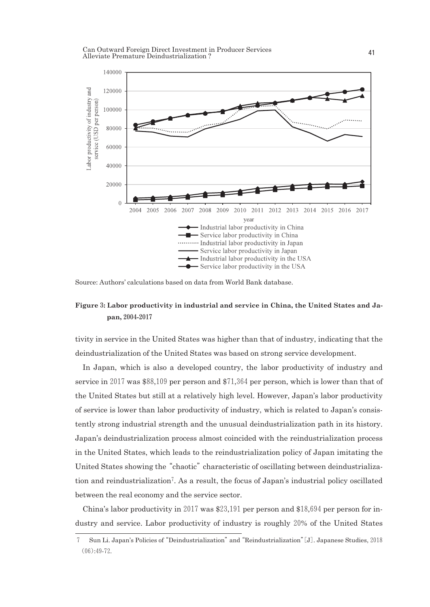Can Outward Foreign Direct Investment in Producer Services Alleviate Premature Deindustrialization ? 41



Source: Authors' calculations based on data from World Bank database.

## **Figure**3**: Labor productivity in industrial and service in China, the United States and Japan,**2004**-**2017

tivity in service in the United States was higher than that of industry, indicating that the deindustrialization of the United States was based on strong service development.

In Japan, which is also a developed country, the labor productivity of industry and service in 2017 was  $$88,109$  per person and  $$71,364$  per person, which is lower than that of the United States but still at a relatively high level. However, Japan's labor productivity of service is lower than labor productivity of industry, which is related to Japan's consistently strong industrial strength and the unusual deindustrialization path in its history. Japan's deindustrialization process almost coincided with the reindustrialization process in the United States, which leads to the reindustrialization policy of Japan imitating the United States showing the "chaotic" characteristic of oscillating between deindustrialization and reindustrialization7. As a result, the focus of Japan's industrial policy oscillated between the real economy and the service sector.

China's labor productivity in 2017 was  $$23,191$  per person and  $$18,694$  per person for industry and service. Labor productivity of industry is roughly20% of the United States

<sup>7</sup> Sun Li. Japan's Policies of"Deindustrialization"and"Reindustrialization"[J]. Japanese Studies,2018  $(06):49-72.$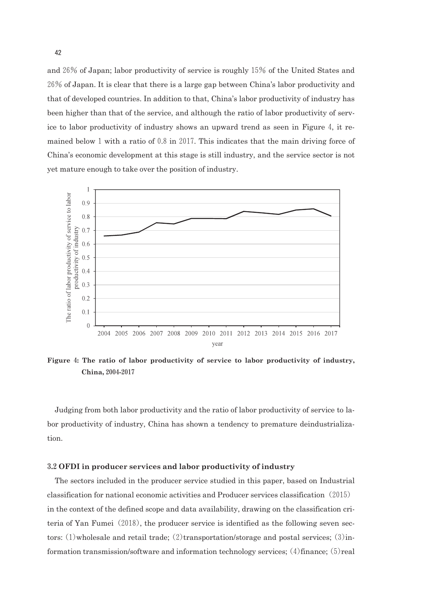and26% of Japan; labor productivity of service is roughly15% of the United States and 26% of Japan. It is clear that there is a large gap between China's labor productivity and that of developed countries. In addition to that, China's labor productivity of industry has been higher than that of the service, and although the ratio of labor productivity of service to labor productivity of industry shows an upward trend as seen in Figure 4, it remained below 1 with a ratio of  $0.8$  in 2017. This indicates that the main driving force of China's economic development at this stage is still industry, and the service sector is not yet mature enough to take over the position of industry.



**Figure** 4**: The ratio of labor productivity of service to labor productivity of industry, China,**2004**-**2017

Judging from both labor productivity and the ratio of labor productivity of service to labor productivity of industry, China has shown a tendency to premature deindustrialization.

#### 3**.**2**OFDI in producer services and labor productivity of industry**

The sectors included in the producer service studied in this paper, based on Industrial classification for national economic activities and Producer services classification(2015) in the context of the defined scope and data availability, drawing on the classification criteria of Yan Fumei(2018), the producer service is identified as the following seven sectors:  $(1)$  wholesale and retail trade;  $(2)$  transportation/storage and postal services;  $(3)$  information transmission/software and information technology services;(4)finance;(5)real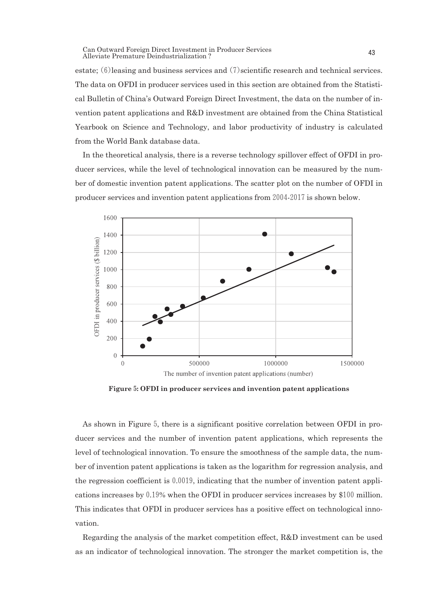estate; (6)leasing and business services and (7)scientific research and technical services. The data on OFDI in producer services used in this section are obtained from the Statistical Bulletin of China's Outward Foreign Direct Investment, the data on the number of invention patent applications and R&D investment are obtained from the China Statistical Yearbook on Science and Technology, and labor productivity of industry is calculated from the World Bank database data.

In the theoretical analysis, there is a reverse technology spillover effect of OFDI in producer services, while the level of technological innovation can be measured by the number of domestic invention patent applications. The scatter plot on the number of OFDI in producer services and invention patent applications from 2004-2017 is shown below.



**Figure**5**: OFDI in producer services and invention patent applications**

As shown in Figure 5, there is a significant positive correlation between OFDI in producer services and the number of invention patent applications, which represents the level of technological innovation. To ensure the smoothness of the sample data, the number of invention patent applications is taken as the logarithm for regression analysis, and the regression coefficient is  $0.0019$ , indicating that the number of invention patent applications increases by 0.19% when the OFDI in producer services increases by \$100 million. This indicates that OFDI in producer services has a positive effect on technological innovation.

Regarding the analysis of the market competition effect, R&D investment can be used as an indicator of technological innovation. The stronger the market competition is, the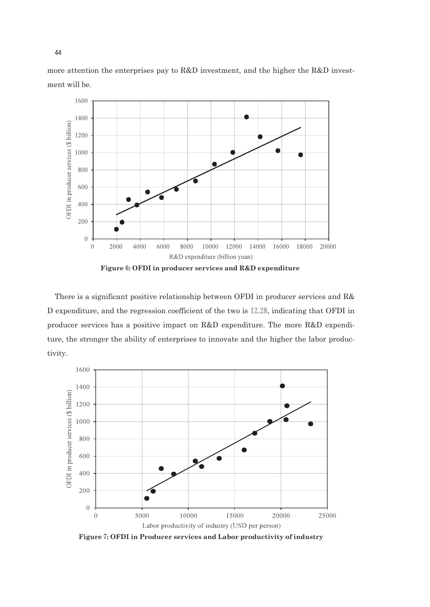more attention the enterprises pay to R&D investment, and the higher the R&D investment will be.



**Figure**6**: OFDI in producer services and R&D expenditure**

There is a significant positive relationship between OFDI in producer services and R& D expenditure, and the regression coefficient of the two is12.28, indicating that OFDI in producer services has a positive impact on R&D expenditure. The more R&D expenditure, the stronger the ability of enterprises to innovate and the higher the labor productivity.



**Figure**7**: OFDI in Producer services and Labor productivity of industry**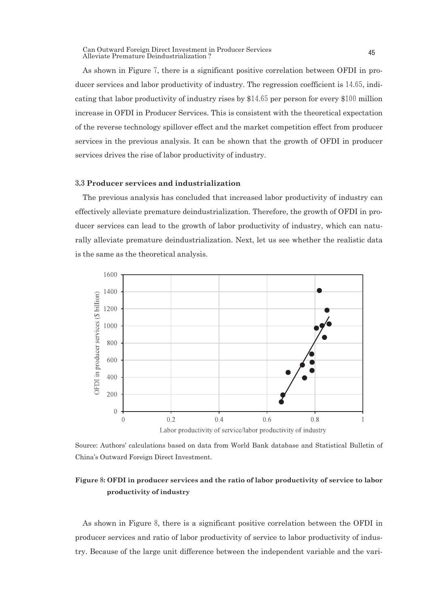As shown in Figure 7, there is a significant positive correlation between OFDI in producer services and labor productivity of industry. The regression coefficient is14.65, indicating that labor productivity of industry rises by  $$14.65$  per person for every  $$100$  million increase in OFDI in Producer Services. This is consistent with the theoretical expectation of the reverse technology spillover effect and the market competition effect from producer services in the previous analysis. It can be shown that the growth of OFDI in producer services drives the rise of labor productivity of industry.

#### 3**.**3**Producer services and industrialization**

The previous analysis has concluded that increased labor productivity of industry can effectively alleviate premature deindustrialization. Therefore, the growth of OFDI in producer services can lead to the growth of labor productivity of industry, which can naturally alleviate premature deindustrialization. Next, let us see whether the realistic data is the same as the theoretical analysis.



Source: Authors' calculations based on data from World Bank database and Statistical Bulletin of China's Outward Foreign Direct Investment.

## **Figure**8**: OFDI in producer services and the ratio of labor productivity of service to labor productivity of industry**

As shown in Figure 8, there is a significant positive correlation between the OFDI in producer services and ratio of labor productivity of service to labor productivity of industry. Because of the large unit difference between the independent variable and the vari-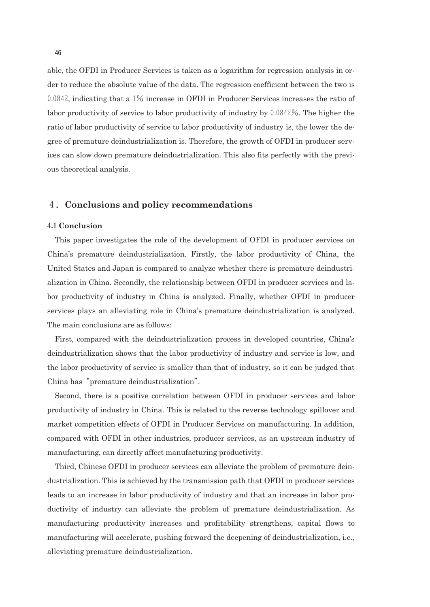able, the OFDI in Producer Services is taken as a logarithm for regression analysis in order to reduce the absolute value of the data. The regression coefficient between the two is 0.0842, indicating that a1% increase in OFDI in Producer Services increases the ratio of labor productivity of service to labor productivity of industry by  $0.0842\%$ . The higher the ratio of labor productivity of service to labor productivity of industry is, the lower the degree of premature deindustrialization is. Therefore, the growth of OFDI in producer services can slow down premature deindustrialization. This also fits perfectly with the previous theoretical analysis.

## 4.**Conclusions and policy recommendations**

#### 4**.**1**Conclusion**

This paper investigates the role of the development of OFDI in producer services on China's premature deindustrialization. Firstly, the labor productivity of China, the United States and Japan is compared to analyze whether there is premature deindustrialization in China. Secondly, the relationship between OFDI in producer services and labor productivity of industry in China is analyzed. Finally, whether OFDI in producer services plays an alleviating role in China's premature deindustrialization is analyzed. The main conclusions are as follows:

First, compared with the deindustrialization process in developed countries, China's deindustrialization shows that the labor productivity of industry and service is low, and the labor productivity of service is smaller than that of industry, so it can be judged that China has"premature deindustrialization".

Second, there is a positive correlation between OFDI in producer services and labor productivity of industry in China. This is related to the reverse technology spillover and market competition effects of OFDI in Producer Services on manufacturing. In addition, compared with OFDI in other industries, producer services, as an upstream industry of manufacturing, can directly affect manufacturing productivity.

Third, Chinese OFDI in producer services can alleviate the problem of premature deindustrialization. This is achieved by the transmission path that OFDI in producer services leads to an increase in labor productivity of industry and that an increase in labor productivity of industry can alleviate the problem of premature deindustrialization. As manufacturing productivity increases and profitability strengthens, capital flows to manufacturing will accelerate, pushing forward the deepening of deindustrialization, i.e., alleviating premature deindustrialization.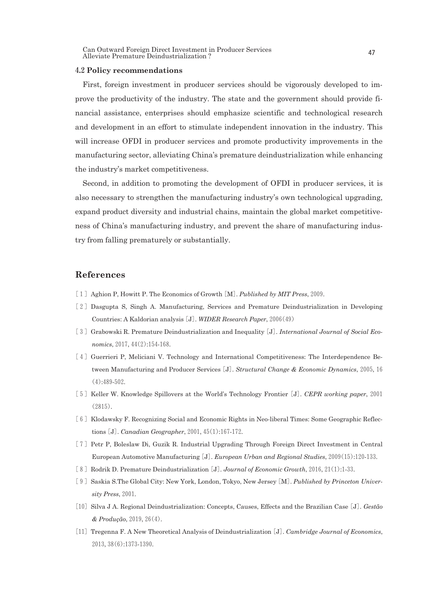Can Outward Foreign Direct Investment in Producer Services Can Outward Foreign Direct Investment in Producer Services<br>Alleviate Premature Deindustrialization ?

#### 4**.**2**Policy recommendations**

First, foreign investment in producer services should be vigorously developed to improve the productivity of the industry. The state and the government should provide financial assistance, enterprises should emphasize scientific and technological research and development in an effort to stimulate independent innovation in the industry. This will increase OFDI in producer services and promote productivity improvements in the manufacturing sector, alleviating China's premature deindustrialization while enhancing the industry's market competitiveness.

Second, in addition to promoting the development of OFDI in producer services, it is also necessary to strengthen the manufacturing industry's own technological upgrading, expand product diversity and industrial chains, maintain the global market competitiveness of China's manufacturing industry, and prevent the share of manufacturing industry from falling prematurely or substantially.

## **References**

- [1] Aghion P, Howitt P. The Economics of Growth [M]. *Published by MIT Press*, 2009.
- [2]Dasgupta S, Singh A. Manufacturing, Services and Premature Deindustrialization in Developing Countries: A Kaldorian analysis[J]. *WIDER Research Paper*,2006(49)
- [3] Grabowski R. Premature Deindustrialization and Inequality [J]. *International Journal of Social Economics*,2017,44(2):154-168.
- [4] Guerrieri P, Meliciani V. Technology and International Competitiveness: The Interdependence Between Manufacturing and Producer Services[J]. *Structural Change & Economic Dynamics*,2005,16 (4):489-502.
- [5]Keller W. Knowledge Spillovers at the World's Technology Frontier[J]. *CEPR working paper*,2001 (2815).
- [6] Klodawsky F. Recognizing Social and Economic Rights in Neo-liberal Times: Some Geographic Reflections[J]. *Canadian Geographer*,2001,45(1):167-172.
- [7] Petr P, Boleslaw Di, Guzik R. Industrial Upgrading Through Foreign Direct Investment in Central European Automotive Manufacturing[J]. *European Urban and Regional Studies*,2009(15):120-133.
- [8]Rodrik D. Premature Deindustrialization[J]. *Journal of Economic Growth*,2016,21(1):1-33.
- [9]Saskia S.The Global City: New York, London, Tokyo, New Jersey[M]. *Published by Princeton University Press*,2001.
- [10]Silva J A. Regional Deindustrialization: Concepts, Causes, Effects and the Brazilian Case[J]. *Gestão & Produção*,2019,26(4).
- [11]Tregenna F. A New Theoretical Analysis of Deindustrialization[J]. *Cambridge Journal of Economics*, 2013,38(6):1373-1390.